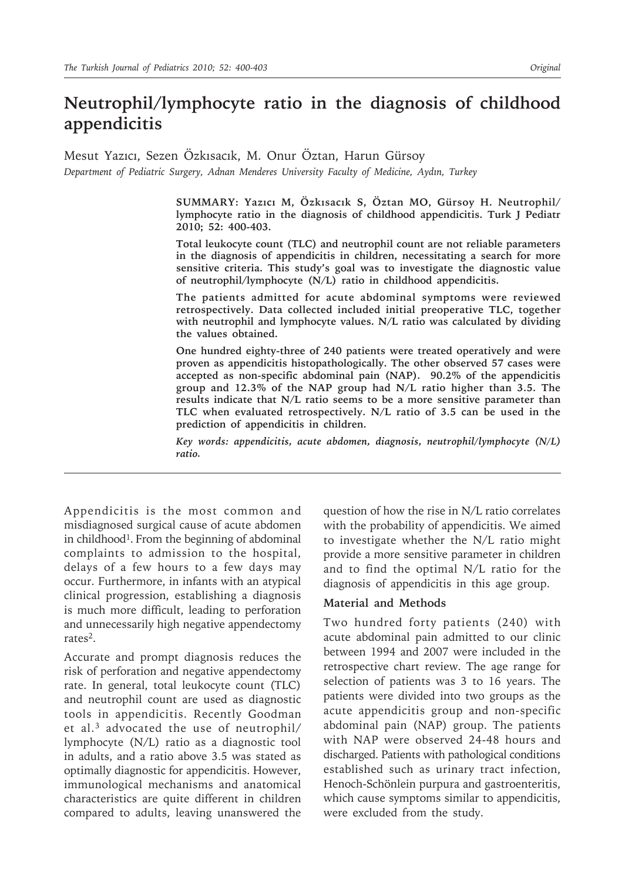# **Neutrophil/lymphocyte ratio in the diagnosis of childhood appendicitis**

Mesut Yazıcı, Sezen Özkısacık, M. Onur Öztan, Harun Gürsoy *Department of Pediatric Surgery, Adnan Menderes University Faculty of Medicine, Aydın, Turkey*

> **SUMMARY: Yazıcı M, Özkısacık S, Öztan MO, Gürsoy H. Neutrophil/ lymphocyte ratio in the diagnosis of childhood appendicitis. Turk J Pediatr 2010; 52: 400-403.**

> **Total leukocyte count (TLC) and neutrophil count are not reliable parameters in the diagnosis of appendicitis in children, necessitating a search for more sensitive criteria. This study's goal was to investigate the diagnostic value of neutrophil/lymphocyte (N/L) ratio in childhood appendicitis.**

> **The patients admitted for acute abdominal symptoms were reviewed retrospectively. Data collected included initial preoperative TLC, together with neutrophil and lymphocyte values. N/L ratio was calculated by dividing the values obtained.**

> **One hundred eighty-three of 240 patients were treated operatively and were proven as appendicitis histopathologically. The other observed 57 cases were accepted as non-specific abdominal pain (NAP). 90.2% of the appendicitis group and 12.3% of the NAP group had N/L ratio higher than 3.5. The results indicate that N/L ratio seems to be a more sensitive parameter than TLC when evaluated retrospectively. N/L ratio of 3.5 can be used in the prediction of appendicitis in children.**

> *Key words: appendicitis, acute abdomen, diagnosis, neutrophil/lymphocyte (N/L) ratio.*

Appendicitis is the most common and misdiagnosed surgical cause of acute abdomen in childhood<sup>1</sup>. From the beginning of abdominal complaints to admission to the hospital, delays of a few hours to a few days may occur. Furthermore, in infants with an atypical clinical progression, establishing a diagnosis is much more difficult, leading to perforation and unnecessarily high negative appendectomy rates2.

Accurate and prompt diagnosis reduces the risk of perforation and negative appendectomy rate. In general, total leukocyte count (TLC) and neutrophil count are used as diagnostic tools in appendicitis. Recently Goodman et al.3 advocated the use of neutrophil/ lymphocyte (N/L) ratio as a diagnostic tool in adults, and a ratio above 3.5 was stated as optimally diagnostic for appendicitis. However, immunological mechanisms and anatomical characteristics are quite different in children compared to adults, leaving unanswered the

question of how the rise in N/L ratio correlates with the probability of appendicitis. We aimed to investigate whether the N/L ratio might provide a more sensitive parameter in children and to find the optimal N/L ratio for the diagnosis of appendicitis in this age group.

#### **Material and Methods**

Two hundred forty patients (240) with acute abdominal pain admitted to our clinic between 1994 and 2007 were included in the retrospective chart review. The age range for selection of patients was 3 to 16 years. The patients were divided into two groups as the acute appendicitis group and non-specific abdominal pain (NAP) group. The patients with NAP were observed 24-48 hours and discharged. Patients with pathological conditions established such as urinary tract infection, Henoch-Schönlein purpura and gastroenteritis, which cause symptoms similar to appendicitis, were excluded from the study.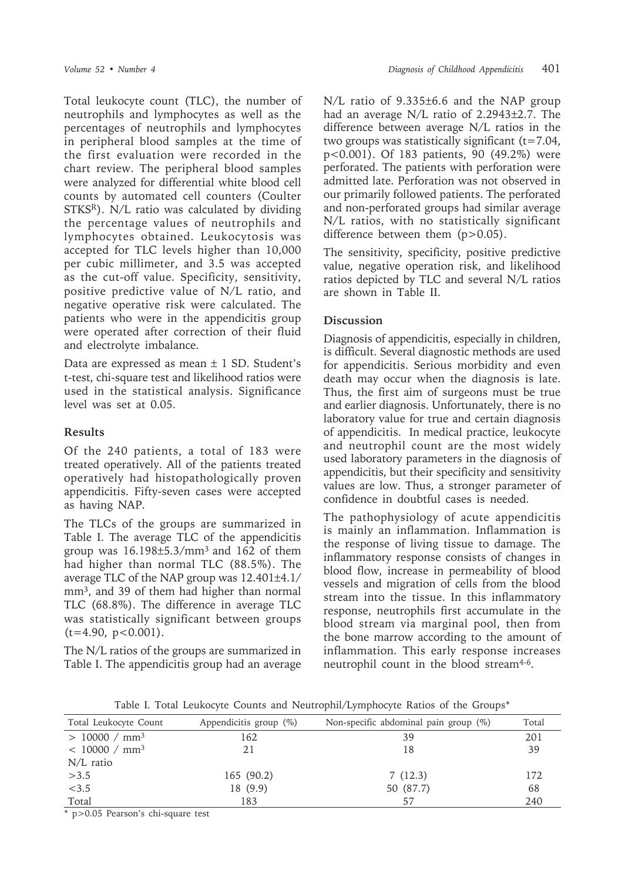Total leukocyte count (TLC), the number of neutrophils and lymphocytes as well as the percentages of neutrophils and lymphocytes in peripheral blood samples at the time of the first evaluation were recorded in the chart review. The peripheral blood samples were analyzed for differential white blood cell counts by automated cell counters (Coulter STKSR). N/L ratio was calculated by dividing the percentage values of neutrophils and lymphocytes obtained. Leukocytosis was accepted for TLC levels higher than 10,000 per cubic millimeter, and 3.5 was accepted as the cut-off value. Specificity, sensitivity, positive predictive value of N/L ratio, and negative operative risk were calculated. The patients who were in the appendicitis group were operated after correction of their fluid and electrolyte imbalance.

Data are expressed as mean  $\pm$  1 SD. Student's t-test, chi-square test and likelihood ratios were used in the statistical analysis. Significance level was set at 0.05.

### **Results**

Of the 240 patients, a total of 183 were treated operatively. All of the patients treated operatively had histopathologically proven appendicitis. Fifty-seven cases were accepted as having NAP.

The TLCs of the groups are summarized in Table I. The average TLC of the appendicitis group was  $16.198\pm5.3/\text{mm}^3$  and  $162$  of them had higher than normal TLC (88.5%). The average TLC of the NAP group was 12.401±4.1/ mm3, and 39 of them had higher than normal TLC (68.8%). The difference in average TLC was statistically significant between groups  $(t=4.90, p<0.001)$ .

The N/L ratios of the groups are summarized in Table I. The appendicitis group had an average

N/L ratio of 9.335±6.6 and the NAP group had an average N/L ratio of 2.2943±2.7. The difference between average N/L ratios in the two groups was statistically significant  $(t=7.04,$ p<0.001). Of 183 patients, 90 (49.2%) were perforated. The patients with perforation were admitted late. Perforation was not observed in our primarily followed patients. The perforated and non-perforated groups had similar average N/L ratios, with no statistically significant difference between them (p>0.05).

The sensitivity, specificity, positive predictive value, negative operation risk, and likelihood ratios depicted by TLC and several N/L ratios are shown in Table II.

## **Discussion**

Diagnosis of appendicitis, especially in children, is difficult. Several diagnostic methods are used for appendicitis. Serious morbidity and even death may occur when the diagnosis is late. Thus, the first aim of surgeons must be true and earlier diagnosis. Unfortunately, there is no laboratory value for true and certain diagnosis of appendicitis. In medical practice, leukocyte and neutrophil count are the most widely used laboratory parameters in the diagnosis of appendicitis, but their specificity and sensitivity values are low. Thus, a stronger parameter of confidence in doubtful cases is needed.

The pathophysiology of acute appendicitis is mainly an inflammation. Inflammation is the response of living tissue to damage. The inflammatory response consists of changes in blood flow, increase in permeability of blood vessels and migration of cells from the blood stream into the tissue. In this inflammatory response, neutrophils first accumulate in the blood stream via marginal pool, then from the bone marrow according to the amount of inflammation. This early response increases neutrophil count in the blood stream<sup>4-6</sup>.

| Total Leukocyte Count     | Appendicitis group $(\%)$ | Non-specific abdominal pain group $(\%)$ | Total |
|---------------------------|---------------------------|------------------------------------------|-------|
| > 10000 / mm <sup>3</sup> | 162                       | 39                                       | 201   |
| < 10000 / mm <sup>3</sup> | 21                        | 18                                       | 39    |
| $N/L$ ratio               |                           |                                          |       |
| >3.5                      | 165 (90.2)                | 7(12.3)                                  | 172   |
| < 3.5                     | 18 (9.9)                  | 50 (87.7)                                | 68    |
| Total                     | 183                       | 57                                       | 240   |

Table I. Total Leukocyte Counts and Neutrophil/Lymphocyte Ratios of the Groups\*

\* p>0.05 Pearson's chi-square test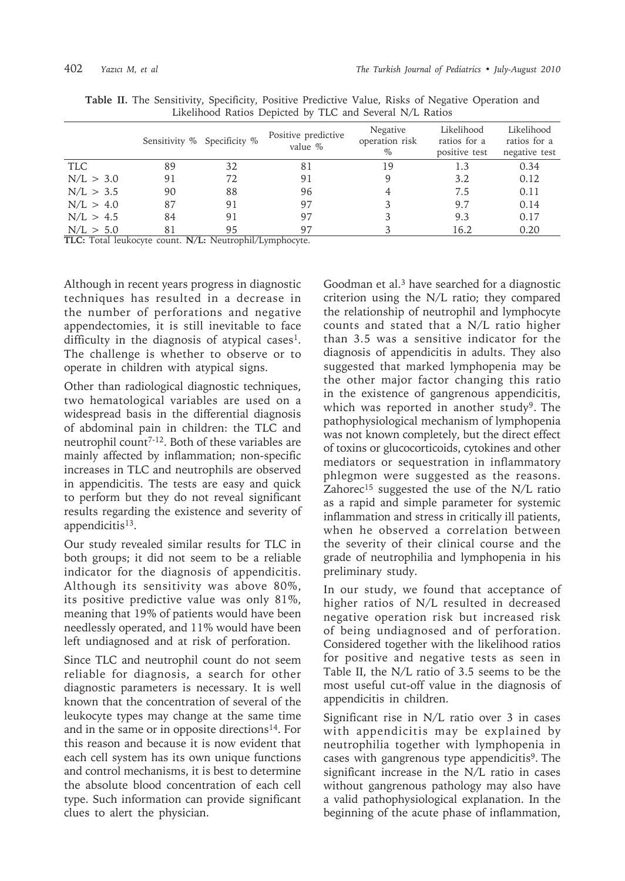|            | Sensitivity % Specificity % |            | Positive predictive<br>value % | Negative<br>operation risk<br>$\%$ | Likelihood<br>ratios for a<br>positive test | Likelihood<br>ratios for a<br>negative test |
|------------|-----------------------------|------------|--------------------------------|------------------------------------|---------------------------------------------|---------------------------------------------|
| <b>TLC</b> | 89                          | 32         | 81                             | 19                                 | 1.3                                         | 0.34                                        |
| N/L > 3.0  | 91                          | 72         | 91                             | 9                                  | 3.2                                         | 0.12                                        |
| N/L > 3.5  | 90                          | 88         | 96                             | 4                                  | 7.5                                         | 0.11                                        |
| N/L > 4.0  | 87                          | 91         | 97                             |                                    | 9.7                                         | 0.14                                        |
| N/L > 4.5  | 84                          | 91         | 97                             |                                    | 9.3                                         | 0.17                                        |
| N/L > 5.0  | 81                          | 95<br>---- | 97                             |                                    | 16.2                                        | 0.20                                        |

**Table II.** The Sensitivity, Specificity, Positive Predictive Value, Risks of Negative Operation and Likelihood Ratios Depicted by TLC and Several N/L Ratios

**TLC:** Total leukocyte count. **N/L:** Neutrophil/Lymphocyte.

Although in recent years progress in diagnostic techniques has resulted in a decrease in the number of perforations and negative appendectomies, it is still inevitable to face difficulty in the diagnosis of atypical cases<sup>1</sup>. The challenge is whether to observe or to operate in children with atypical signs.

Other than radiological diagnostic techniques, two hematological variables are used on a widespread basis in the differential diagnosis of abdominal pain in children: the TLC and neutrophil count7-12. Both of these variables are mainly affected by inflammation; non-specific increases in TLC and neutrophils are observed in appendicitis. The tests are easy and quick to perform but they do not reveal significant results regarding the existence and severity of appendicitis<sup>13</sup>.

Our study revealed similar results for TLC in both groups; it did not seem to be a reliable indicator for the diagnosis of appendicitis. Although its sensitivity was above 80%, its positive predictive value was only 81%, meaning that 19% of patients would have been needlessly operated, and 11% would have been left undiagnosed and at risk of perforation.

Since TLC and neutrophil count do not seem reliable for diagnosis, a search for other diagnostic parameters is necessary. It is well known that the concentration of several of the leukocyte types may change at the same time and in the same or in opposite directions<sup>14</sup>. For this reason and because it is now evident that each cell system has its own unique functions and control mechanisms, it is best to determine the absolute blood concentration of each cell type. Such information can provide significant clues to alert the physician.

Goodman et al.3 have searched for a diagnostic criterion using the N/L ratio; they compared the relationship of neutrophil and lymphocyte counts and stated that a N/L ratio higher than 3.5 was a sensitive indicator for the diagnosis of appendicitis in adults. They also suggested that marked lymphopenia may be the other major factor changing this ratio in the existence of gangrenous appendicitis, which was reported in another study<sup>9</sup>. The pathophysiological mechanism of lymphopenia was not known completely, but the direct effect of toxins or glucocorticoids, cytokines and other mediators or sequestration in inflammatory phlegmon were suggested as the reasons. Zahorec<sup>15</sup> suggested the use of the N/L ratio as a rapid and simple parameter for systemic inflammation and stress in critically ill patients, when he observed a correlation between the severity of their clinical course and the grade of neutrophilia and lymphopenia in his preliminary study.

In our study, we found that acceptance of higher ratios of N/L resulted in decreased negative operation risk but increased risk of being undiagnosed and of perforation. Considered together with the likelihood ratios for positive and negative tests as seen in Table II, the N/L ratio of 3.5 seems to be the most useful cut-off value in the diagnosis of appendicitis in children.

Significant rise in N/L ratio over 3 in cases with appendicitis may be explained by neutrophilia together with lymphopenia in cases with gangrenous type appendicitis<sup>9</sup>. The significant increase in the N/L ratio in cases without gangrenous pathology may also have a valid pathophysiological explanation. In the beginning of the acute phase of inflammation,